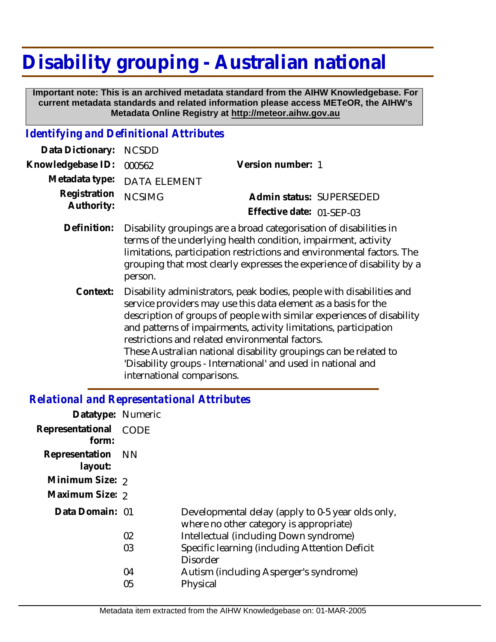## **Disability grouping - Australian national**

 **Important note: This is an archived metadata standard from the AIHW Knowledgebase. For current metadata standards and related information please access METeOR, the AIHW's Metadata Online Registry at http://meteor.aihw.gov.au**

## *Identifying and Definitional Attributes*

| Data Dictionary:           | <b>NCSDD</b>                                                                                                                                                                                                                                                                                                                            |                           |  |
|----------------------------|-----------------------------------------------------------------------------------------------------------------------------------------------------------------------------------------------------------------------------------------------------------------------------------------------------------------------------------------|---------------------------|--|
| Knowledgebase ID:          | 000562                                                                                                                                                                                                                                                                                                                                  | Version number: 1         |  |
| Metadata type:             | <b>DATA ELEMENT</b>                                                                                                                                                                                                                                                                                                                     |                           |  |
| Registration<br>Authority: | <b>NCSIMG</b>                                                                                                                                                                                                                                                                                                                           | Admin status: SUPERSEDED  |  |
|                            |                                                                                                                                                                                                                                                                                                                                         | Effective date: 01-SEP-03 |  |
| Definition:                | Disability groupings are a broad categorisation of disabilities in<br>terms of the underlying health condition, impairment, activity<br>limitations, participation restrictions and environmental factors. The<br>grouping that most clearly expresses the experience of disability by a<br>person.                                     |                           |  |
| Context:                   | Disability administrators, peak bodies, people with disabilities and<br>service providers may use this data element as a basis for the<br>description of groups of people with similar experiences of disability<br>and patterns of impairments, activity limitations, participation<br>restrictions and related environmental factors. |                           |  |

These Australian national disability groupings can be related to 'Disability groups - International' and used in national and international comparisons.

## *Relational and Representational Attributes*

| Datatype: Numeric            |      |                                                                                              |
|------------------------------|------|----------------------------------------------------------------------------------------------|
| Representational<br>form:    | CODE |                                                                                              |
| Representation NN<br>layout: |      |                                                                                              |
| Minimum Size: 2              |      |                                                                                              |
| Maximum Size: 2              |      |                                                                                              |
| Data Domain: 01              |      | Developmental delay (apply to 0-5 year olds only,<br>where no other category is appropriate) |
|                              | 02   | Intellectual (including Down syndrome)                                                       |
|                              | 03   | Specific learning (including Attention Deficit<br><b>Disorder</b>                            |
|                              | 04   | Autism (including Asperger's syndrome)                                                       |
|                              | 05   | Physical                                                                                     |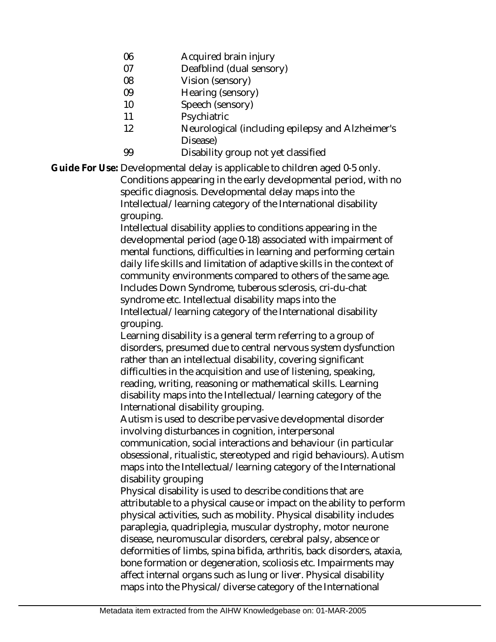- 06 Acquired brain injury
- 07 Deafblind (dual sensory)
- 08 Vision (sensory)
- 09 Hearing (sensory)
- 10 Speech (sensory)
- 11 **Psychiatric**
- 12 Neurological (including epilepsy and Alzheimer's Disease)
- 99 Disability group not yet classified

Guide For Use: Developmental delay is applicable to children aged 0-5 only. Conditions appearing in the early developmental period, with no specific diagnosis. Developmental delay maps into the Intellectual/learning category of the International disability

grouping.

Intellectual disability applies to conditions appearing in the developmental period (age 0-18) associated with impairment of mental functions, difficulties in learning and performing certain daily life skills and limitation of adaptive skills in the context of community environments compared to others of the same age. Includes Down Syndrome, tuberous sclerosis, cri-du-chat syndrome etc. Intellectual disability maps into the Intellectual/learning category of the International disability grouping.

Learning disability is a general term referring to a group of disorders, presumed due to central nervous system dysfunction rather than an intellectual disability, covering significant difficulties in the acquisition and use of listening, speaking, reading, writing, reasoning or mathematical skills. Learning disability maps into the Intellectual/learning category of the International disability grouping.

Autism is used to describe pervasive developmental disorder involving disturbances in cognition, interpersonal communication, social interactions and behaviour (in particular obsessional, ritualistic, stereotyped and rigid behaviours). Autism maps into the Intellectual/learning category of the International

disability grouping

Physical disability is used to describe conditions that are attributable to a physical cause or impact on the ability to perform physical activities, such as mobility. Physical disability includes paraplegia, quadriplegia, muscular dystrophy, motor neurone disease, neuromuscular disorders, cerebral palsy, absence or deformities of limbs, spina bifida, arthritis, back disorders, ataxia, bone formation or degeneration, scoliosis etc. Impairments may affect internal organs such as lung or liver. Physical disability maps into the Physical/diverse category of the International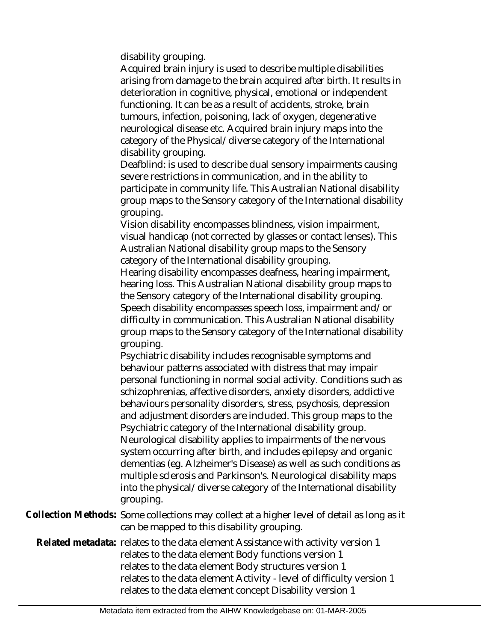disability grouping.

Acquired brain injury is used to describe multiple disabilities arising from damage to the brain acquired after birth. It results in deterioration in cognitive, physical, emotional or independent functioning. It can be as a result of accidents, stroke, brain tumours, infection, poisoning, lack of oxygen, degenerative neurological disease etc. Acquired brain injury maps into the category of the Physical/diverse category of the International disability grouping.

Deafblind: is used to describe dual sensory impairments causing severe restrictions in communication, and in the ability to participate in community life. This Australian National disability group maps to the Sensory category of the International disability grouping.

Vision disability encompasses blindness, vision impairment, visual handicap (not corrected by glasses or contact lenses). This Australian National disability group maps to the Sensory category of the International disability grouping. Hearing disability encompasses deafness, hearing impairment, hearing loss. This Australian National disability group maps to the Sensory category of the International disability grouping. Speech disability encompasses speech loss, impairment and/or difficulty in communication. This Australian National disability group maps to the Sensory category of the International disability grouping.

Psychiatric disability includes recognisable symptoms and behaviour patterns associated with distress that may impair personal functioning in normal social activity. Conditions such as schizophrenias, affective disorders, anxiety disorders, addictive behaviours personality disorders, stress, psychosis, depression and adjustment disorders are included. This group maps to the Psychiatric category of the International disability group. Neurological disability applies to impairments of the nervous system occurring after birth, and includes epilepsy and organic dementias (eg. Alzheimer's Disease) as well as such conditions as multiple sclerosis and Parkinson's. Neurological disability maps into the physical/diverse category of the International disability grouping.

Collection Methods: Some collections may collect at a higher level of detail as long as it can be mapped to this disability grouping.

Related metadata: relates to the data element Assistance with activity version 1 relates to the data element Body functions version 1 relates to the data element Body structures version 1 relates to the data element Activity - level of difficulty version 1 relates to the data element concept Disability version 1